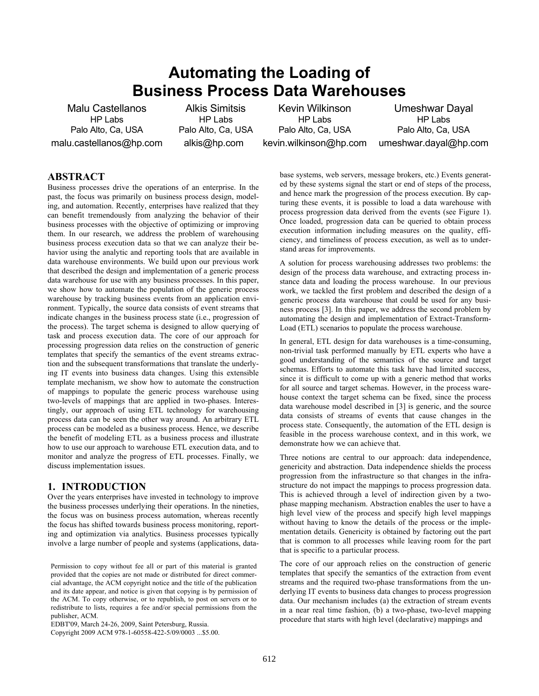# **Automating the Loading of Business Process Data Warehouses**

Malu Castellanos HP Labs Palo Alto, Ca, USA malu.castellanos@hp.com

 Alkis Simitsis HP Labs Palo Alto, Ca, USA alkis@hp.com

Kevin Wilkinson HP Labs Palo Alto, Ca, USA kevin.wilkinson@hp.com

Umeshwar Dayal HP Labs Palo Alto, Ca, USA umeshwar.dayal@hp.com

#### **ABSTRACT**

Business processes drive the operations of an enterprise. In the past, the focus was primarily on business process design, modeling, and automation. Recently, enterprises have realized that they can benefit tremendously from analyzing the behavior of their business processes with the objective of optimizing or improving them. In our research, we address the problem of warehousing business process execution data so that we can analyze their behavior using the analytic and reporting tools that are available in data warehouse environments. We build upon our previous work that described the design and implementation of a generic process data warehouse for use with any business processes. In this paper, we show how to automate the population of the generic process warehouse by tracking business events from an application environment. Typically, the source data consists of event streams that indicate changes in the business process state (i.e., progression of the process). The target schema is designed to allow querying of task and process execution data. The core of our approach for processing progression data relies on the construction of generic templates that specify the semantics of the event streams extraction and the subsequent transformations that translate the underlying IT events into business data changes. Using this extensible template mechanism, we show how to automate the construction of mappings to populate the generic process warehouse using two-levels of mappings that are applied in two-phases. Interestingly, our approach of using ETL technology for warehousing process data can be seen the other way around. An arbitrary ETL process can be modeled as a business process. Hence, we describe the benefit of modeling ETL as a business process and illustrate how to use our approach to warehouse ETL execution data, and to monitor and analyze the progress of ETL processes. Finally, we discuss implementation issues.

#### **1. INTRODUCTION**

Over the years enterprises have invested in technology to improve the business processes underlying their operations. In the nineties, the focus was on business process automation, whereas recently the focus has shifted towards business process monitoring, reporting and optimization via analytics. Business processes typically involve a large number of people and systems (applications, data-

Permission to copy without fee all or part of this material is granted provided that the copies are not made or distributed for direct commercial advantage, the ACM copyright notice and the title of the publication and its date appear, and notice is given that copying is by permission of the ACM. To copy otherwise, or to republish, to post on servers or to redistribute to lists, requires a fee and/or special permissions from the publisher, ACM.

EDBT'09, March 24-26, 2009, Saint Petersburg, Russia.

Copyright 2009 ACM 978-1-60558-422-5/09/0003 ...\$5.00.

base systems, web servers, message brokers, etc.) Events generated by these systems signal the start or end of steps of the process, and hence mark the progression of the process execution. By capturing these events, it is possible to load a data warehouse with process progression data derived from the events (see Figure 1). Once loaded, progression data can be queried to obtain process execution information including measures on the quality, efficiency, and timeliness of process execution, as well as to understand areas for improvements.

A solution for process warehousing addresses two problems: the design of the process data warehouse, and extracting process instance data and loading the process warehouse. In our previous work, we tackled the first problem and described the design of a generic process data warehouse that could be used for any business process [3]. In this paper, we address the second problem by automating the design and implementation of Extract-Transform-Load (ETL) scenarios to populate the process warehouse.

In general, ETL design for data warehouses is a time-consuming, non-trivial task performed manually by ETL experts who have a good understanding of the semantics of the source and target schemas. Efforts to automate this task have had limited success, since it is difficult to come up with a generic method that works for all source and target schemas. However, in the process warehouse context the target schema can be fixed, since the process data warehouse model described in [3] is generic, and the source data consists of streams of events that cause changes in the process state. Consequently, the automation of the ETL design is feasible in the process warehouse context, and in this work, we demonstrate how we can achieve that.

Three notions are central to our approach: data independence, genericity and abstraction. Data independence shields the process progression from the infrastructure so that changes in the infrastructure do not impact the mappings to process progression data. This is achieved through a level of indirection given by a twophase mapping mechanism. Abstraction enables the user to have a high level view of the process and specify high level mappings without having to know the details of the process or the implementation details. Genericity is obtained by factoring out the part that is common to all processes while leaving room for the part that is specific to a particular process.

The core of our approach relies on the construction of generic templates that specify the semantics of the extraction from event streams and the required two-phase transformations from the underlying IT events to business data changes to process progression data. Our mechanism includes (a) the extraction of stream events in a near real time fashion, (b) a two-phase, two-level mapping procedure that starts with high level (declarative) mappings and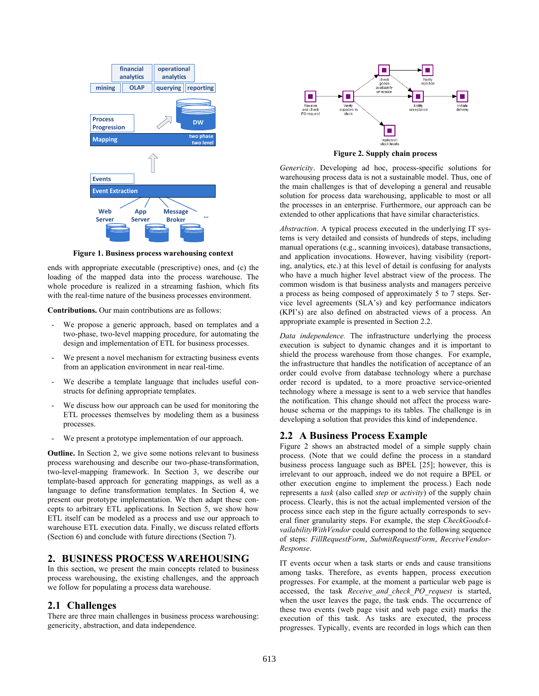

**Figure 1. Business process warehousing context** 

ends with appropriate executable (prescriptive) ones, and (c) the loading of the mapped data into the process warehouse. The whole procedure is realized in a streaming fashion, which fits with the real-time nature of the business processes environment.

**Contributions.** Our main contributions are as follows:

- We propose a generic approach, based on templates and a two-phase, two-level mapping procedure, for automating the design and implementation of ETL for business processes.
- We present a novel mechanism for extracting business events from an application environment in near real-time.
- We describe a template language that includes useful constructs for defining appropriate templates.
- We discuss how our approach can be used for monitoring the ETL processes themselves by modeling them as a business processes.
- We present a prototype implementation of our approach.

**Outline.** In Section 2, we give some notions relevant to business process warehousing and describe our two-phase-transformation, two-level-mapping framework. In Section 3, we describe our template-based approach for generating mappings, as well as a language to define transformation templates. In Section 4, we present our prototype implementation. We then adapt these concepts to arbitrary ETL applications. In Section 5, we show how ETL itself can be modeled as a process and use our approach to warehouse ETL execution data. Finally, we discuss related efforts (Section 6) and conclude with future directions (Section 7).

#### **2. BUSINESS PROCESS WAREHOUSING**

In this section, we present the main concepts related to business process warehousing, the existing challenges, and the approach we follow for populating a process data warehouse.

#### **2.1 Challenges**

There are three main challenges in business process warehousing: genericity, abstraction, and data independence.



**Figure 2. Supply chain process** 

*Genericity*. Developing ad hoc, process-specific solutions for warehousing process data is not a sustainable model. Thus, one of the main challenges is that of developing a general and reusable solution for process data warehousing, applicable to most or all the processes in an enterprise. Furthermore, our approach can be extended to other applications that have similar characteristics.

*Abstraction*. A typical process executed in the underlying IT systems is very detailed and consists of hundreds of steps, including manual operations (e.g., scanning invoices), database transactions, and application invocations. However, having visibility (reporting, analytics, etc.) at this level of detail is confusing for analysts who have a much higher level abstract view of the process. The common wisdom is that business analysts and managers perceive a process as being composed of approximately 5 to 7 steps. Service level agreements (SLA's) and key performance indicators (KPI's) are also defined on abstracted views of a process. An appropriate example is presented in Section 2.2.

*Data independence.* The infrastructure underlying the process execution is subject to dynamic changes and it is important to shield the process warehouse from those changes. For example, the infrastructure that handles the notification of acceptance of an order could evolve from database technology where a purchase order record is updated, to a more proactive service-oriented technology where a message is sent to a web service that handles the notification. This change should not affect the process warehouse schema or the mappings to its tables. The challenge is in developing a solution that provides this kind of independence.

### **2.2 A Business Process Example**

Figure 2 shows an abstracted model of a simple supply chain process. (Note that we could define the process in a standard business process language such as BPEL [25]; however, this is irrelevant to our approach, indeed we do not require a BPEL or other execution engine to implement the process.) Each node represents a *task* (also called *step* or *activity*) of the supply chain process. Clearly, this is not the actual implemented version of the process since each step in the figure actually corresponds to several finer granularity steps. For example, the step *CheckGoodsAvailabilityWithVendor* could correspond to the following sequence of steps: *FillRequestForm*, *SubmitRequestForm*, *ReceiveVendor-Response*.

IT events occur when a task starts or ends and cause transitions among tasks. Therefore, as events happen, process execution progresses. For example, at the moment a particular web page is accessed, the task *Receive\_and\_check\_PO\_request* is started, when the user leaves the page, the task ends. The occurrence of these two events (web page visit and web page exit) marks the execution of this task. As tasks are executed, the process progresses. Typically, events are recorded in logs which can then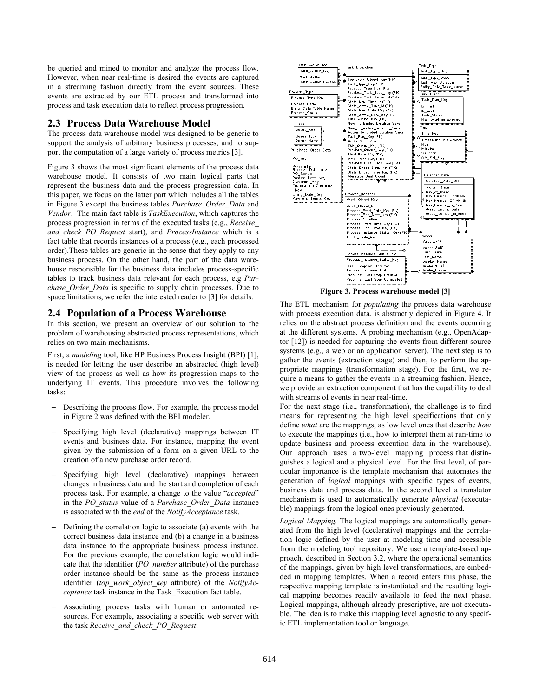be queried and mined to monitor and analyze the process flow. However, when near real-time is desired the events are captured in a streaming fashion directly from the event sources. These events are extracted by our ETL process and transformed into process and task execution data to reflect process progression.

# **2.3 Process Data Warehouse Model**

The process data warehouse model was designed to be generic to support the analysis of arbitrary business processes, and to support the computation of a large variety of process metrics [3].

Figure 3 shows the most significant elements of the process data warehouse model. It consists of two main logical parts that represent the business data and the process progression data. In this paper, we focus on the latter part which includes all the tables in Figure 3 except the business tables *Purchase\_Order\_Data* and *Vendor*. The main fact table is *TaskExecution*, which captures the process progression in terms of the executed tasks (e.g., *Receive\_ and\_check\_PO\_Request* start), and *ProcessInstance* which is a fact table that records instances of a process (e.g., each processed order).These tables are generic in the sense that they apply to any business process. On the other hand, the part of the data warehouse responsible for the business data includes process-specific tables to track business data relevant for each process, e.g *Purchase\_Order\_Data* is specific to supply chain processes. Due to space limitations, we refer the interested reader to [3] for details.

#### **2.4 Population of a Process Warehouse**

In this section, we present an overview of our solution to the problem of warehousing abstracted process representations, which relies on two main mechanisms.

First, a *modeling* tool, like HP Business Process Insight (BPI) [1], is needed for letting the user describe an abstracted (high level) view of the process as well as how its progression maps to the underlying IT events. This procedure involves the following tasks:

- Describing the process flow. For example, the process model in Figure 2 was defined with the BPI modeler.
- Specifying high level (declarative) mappings between IT events and business data. For instance, mapping the event given by the submission of a form on a given URL to the creation of a new purchase order record.
- Specifying high level (declarative) mappings between changes in business data and the start and completion of each process task. For example, a change to the value "*accepted*" in the *PO\_status* value of a *Purchase\_Order\_Data* instance is associated with the *end* of the *NotifyAcceptance* task.
- Defining the correlation logic to associate (a) events with the correct business data instance and (b) a change in a business data instance to the appropriate business process instance. For the previous example, the correlation logic would indicate that the identifier (*PO\_number* attribute) of the purchase order instance should be the same as the process instance identifier (*top\_work\_object\_key* attribute) of the *NotifyAcceptance* task instance in the Task\_Execution fact table.
- − Associating process tasks with human or automated resources. For example, associating a specific web server with the task *Receive\_and\_check\_PO\_Request*.

![](_page_2_Figure_12.jpeg)

**Figure 3. Process warehouse model [3]** 

The ETL mechanism for *populating* the process data warehouse with process execution data. is abstractly depicted in Figure 4. It relies on the abstract process definition and the events occurring at the different systems. A probing mechanism (e.g., OpenAdaptor [12]) is needed for capturing the events from different source systems (e.g., a web or an application server). The next step is to gather the events (extraction stage) and then, to perform the appropriate mappings (transformation stage). For the first, we require a means to gather the events in a streaming fashion. Hence, we provide an extraction component that has the capability to deal with streams of events in near real-time.

For the next stage (i.e., transformation), the challenge is to find means for representing the high level specifications that only define *what* are the mappings, as low level ones that describe *how* to execute the mappings (i.e., how to interpret them at run-time to update business and process execution data in the warehouse). Our approach uses a two-level mapping process that distinguishes a logical and a physical level. For the first level, of particular importance is the template mechanism that automates the generation of *logical* mappings with specific types of events, business data and process data. In the second level a translator mechanism is used to automatically generate *physical* (executable) mappings from the logical ones previously generated.

*Logical Mapping.* The logical mappings are automatically generated from the high level (declarative) mappings and the correlation logic defined by the user at modeling time and accessible from the modeling tool repository. We use a template-based approach, described in Section 3.2, where the operational semantics of the mappings, given by high level transformations, are embedded in mapping templates. When a record enters this phase, the respective mapping template is instantiated and the resulting logical mapping becomes readily available to feed the next phase. Logical mappings, although already prescriptive, are not executable. The idea is to make this mapping level agnostic to any specific ETL implementation tool or language.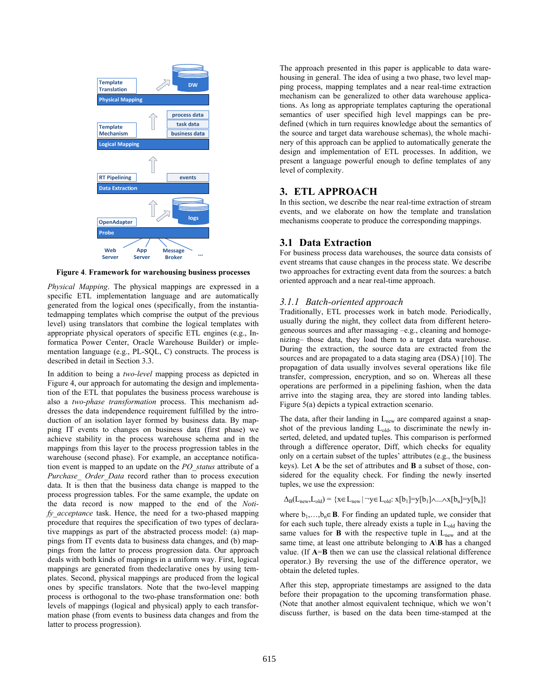![](_page_3_Figure_0.jpeg)

**Figure 4**. **Framework for warehousing business processes** 

*Physical Mapping*. The physical mappings are expressed in a specific ETL implementation language and are automatically generated from the logical ones (specifically, from the instantiatedmapping templates which comprise the output of the previous level) using translators that combine the logical templates with appropriate physical operators of specific ETL engines (e.g., Informatica Power Center, Oracle Warehouse Builder) or implementation language (e.g., PL-SQL, C) constructs. The process is described in detail in Section 3.3.

In addition to being a *two-level* mapping process as depicted in Figure 4, our approach for automating the design and implementation of the ETL that populates the business process warehouse is also a *two-phase transformation* process. This mechanism addresses the data independence requirement fulfilled by the introduction of an isolation layer formed by business data. By mapping IT events to changes on business data (first phase) we achieve stability in the process warehouse schema and in the mappings from this layer to the process progression tables in the warehouse (second phase). For example, an acceptance notification event is mapped to an update on the *PO\_status* attribute of a *Purchase Order Data* record rather than to process execution data. It is then that the business data change is mapped to the process progression tables. For the same example, the update on the data record is now mapped to the end of the *Notify acceptance* task. Hence, the need for a two-phased mapping procedure that requires the specification of two types of declarative mappings as part of the abstracted process model: (a) mappings from IT events data to business data changes, and (b) mappings from the latter to process progression data. Our approach deals with both kinds of mappings in a uniform way. First, logical mappings are generated from thedeclarative ones by using templates. Second, physical mappings are produced from the logical ones by specific translators. Note that the two-level mapping process is orthogonal to the two-phase transformation one: both levels of mappings (logical and physical) apply to each transformation phase (from events to business data changes and from the latter to process progression).

The approach presented in this paper is applicable to data warehousing in general. The idea of using a two phase, two level mapping process, mapping templates and a near real-time extraction mechanism can be generalized to other data warehouse applications. As long as appropriate templates capturing the operational semantics of user specified high level mappings can be predefined (which in turn requires knowledge about the semantics of the source and target data warehouse schemas), the whole machinery of this approach can be applied to automatically generate the design and implementation of ETL processes. In addition, we present a language powerful enough to define templates of any level of complexity.

#### **3. ETL APPROACH**

In this section, we describe the near real-time extraction of stream events, and we elaborate on how the template and translation mechanisms cooperate to produce the corresponding mappings.

#### **3.1 Data Extraction**

For business process data warehouses, the source data consists of event streams that cause changes in the process state. We describe two approaches for extracting event data from the sources: a batch oriented approach and a near real-time approach.

#### *3.1.1 Batch-oriented approach*

Traditionally, ETL processes work in batch mode. Periodically, usually during the night, they collect data from different heterogeneous sources and after massaging –e.g., cleaning and homogenizing– those data, they load them to a target data warehouse. During the extraction, the source data are extracted from the sources and are propagated to a data staging area (DSA) [10]. The propagation of data usually involves several operations like file transfer, compression, encryption, and so on. Whereas all these operations are performed in a pipelining fashion, when the data arrive into the staging area, they are stored into landing tables. Figure 5(a) depicts a typical extraction scenario.

The data, after their landing in  $L<sub>new</sub>$  are compared against a snapshot of the previous landing  $L_{old}$ , to discriminate the newly inserted, deleted, and updated tuples. This comparison is performed through a difference operator, Diff, which checks for equality only on a certain subset of the tuples' attributes (e.g., the business keys). Let **A** be the set of attributes and **B** a subset of those, considered for the equality check. For finding the newly inserted tuples, we use the expression:

$$
\Delta_B(L_{new},\!L_{old}) = \{x \!\in\! L_{new} \,|\, \neg y \!\in\! L_{old} \!\!: \,x[b_1] \!\!=\!\! y[b_1] \!\wedge\! \ldots \!\wedge\! x[b_n] \!\!=\!\! y[b_n] \}
$$

where  $b_1, \ldots, b_n \in \mathbf{B}$ . For finding an updated tuple, we consider that for each such tuple, there already exists a tuple in  $L_{old}$  having the same values for **B** with the respective tuple in  $L_{new}$  and at the same time, at least one attribute belonging to **A**\**B** has a changed value. (If **A**=**B** then we can use the classical relational difference operator.) By reversing the use of the difference operator, we obtain the deleted tuples.

After this step, appropriate timestamps are assigned to the data before their propagation to the upcoming transformation phase. (Note that another almost equivalent technique, which we won't discuss further, is based on the data been time-stamped at the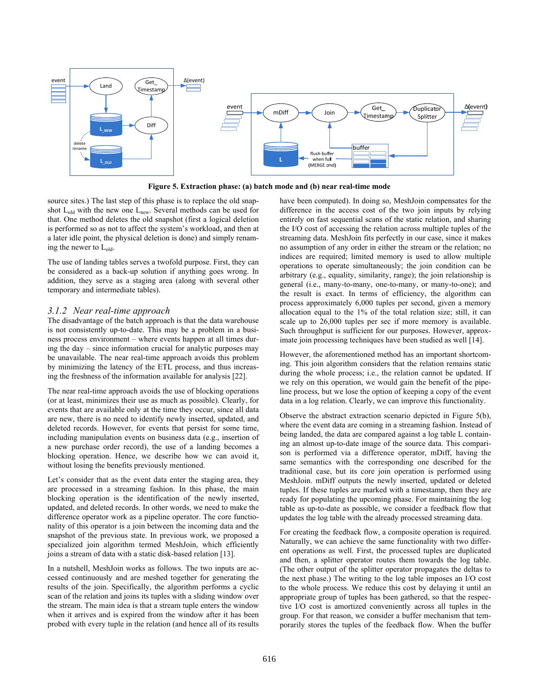![](_page_4_Figure_0.jpeg)

**Figure 5. Extraction phase: (a) batch mode and (b) near real-time mode** 

source sites.) The last step of this phase is to replace the old snapshot  $L_{old}$  with the new one  $L_{new}$ . Several methods can be used for that. One method deletes the old snapshot (first a logical deletion is performed so as not to affect the system's workload, and then at a later idle point, the physical deletion is done) and simply renaming the newer to  $L_{old}$ .

The use of landing tables serves a twofold purpose. First, they can be considered as a back-up solution if anything goes wrong. In addition, they serve as a staging area (along with several other temporary and intermediate tables).

#### *3.1.2 Near real-time approach*

The disadvantage of the batch approach is that the data warehouse is not consistently up-to-date. This may be a problem in a business process environment – where events happen at all times during the day – since information crucial for analytic purposes may be unavailable. The near real-time approach avoids this problem by minimizing the latency of the ETL process, and thus increasing the freshness of the information available for analysis [22].

The near real-time approach avoids the use of blocking operations (or at least, minimizes their use as much as possible). Clearly, for events that are available only at the time they occur, since all data are new, there is no need to identify newly inserted, updated, and deleted records. However, for events that persist for some time, including manipulation events on business data (e.g., insertion of a new purchase order record), the use of a landing becomes a blocking operation. Hence, we describe how we can avoid it, without losing the benefits previously mentioned.

Let's consider that as the event data enter the staging area, they are processed in a streaming fashion. In this phase, the main blocking operation is the identification of the newly inserted, updated, and deleted records. In other words, we need to make the difference operator work as a pipeline operator. The core functionality of this operator is a join between the incoming data and the snapshot of the previous state. In previous work, we proposed a specialized join algorithm termed MeshJoin, which efficiently joins a stream of data with a static disk-based relation [13].

In a nutshell, MeshJoin works as follows. The two inputs are accessed continuously and are meshed together for generating the results of the join. Specifically, the algorithm performs a cyclic scan of the relation and joins its tuples with a sliding window over the stream. The main idea is that a stream tuple enters the window when it arrives and is expired from the window after it has been probed with every tuple in the relation (and hence all of its results

have been computed). In doing so, MeshJoin compensates for the difference in the access cost of the two join inputs by relying entirely on fast sequential scans of the static relation, and sharing the I/O cost of accessing the relation across multiple tuples of the streaming data. MeshJoin fits perfectly in our case, since it makes no assumption of any order in either the stream or the relation; no indices are required; limited memory is used to allow multiple operations to operate simultaneously; the join condition can be arbitrary (e.g., equality, similarity, range); the join relationship is general (i.e., many-to-many, one-to-many, or many-to-one); and the result is exact. In terms of efficiency, the algorithm can process approximately 6,000 tuples per second, given a memory allocation equal to the 1% of the total relation size; still, it can scale up to 26,000 tuples per sec if more memory is available. Such throughput is sufficient for our purposes. However, approximate join processing techniques have been studied as well [14].

However, the aforementioned method has an important shortcoming. This join algorithm considers that the relation remains static during the whole process; i.e., the relation cannot be updated. If we rely on this operation, we would gain the benefit of the pipeline process, but we lose the option of keeping a copy of the event data in a log relation. Clearly, we can improve this functionality.

Observe the abstract extraction scenario depicted in Figure 5(b), where the event data are coming in a streaming fashion. Instead of being landed, the data are compared against a log table L containing an almost up-to-date image of the source data. This comparison is performed via a difference operator, mDiff, having the same semantics with the corresponding one described for the traditional case, but its core join operation is performed using MeshJoin. mDiff outputs the newly inserted, updated or deleted tuples. If these tuples are marked with a timestamp, then they are ready for populating the upcoming phase. For maintaining the log table as up-to-date as possible, we consider a feedback flow that updates the log table with the already processed streaming data.

For creating the feedback flow, a composite operation is required. Naturally, we can achieve the same functionality with two different operations as well. First, the processed tuples are duplicated and then, a splitter operator routes them towards the log table. (The other output of the splitter operator propagates the deltas to the next phase.) The writing to the log table imposes an I/O cost to the whole process. We reduce this cost by delaying it until an appropriate group of tuples has been gathered, so that the respective I/O cost is amortized conveniently across all tuples in the group. For that reason, we consider a buffer mechanism that temporarily stores the tuples of the feedback flow. When the buffer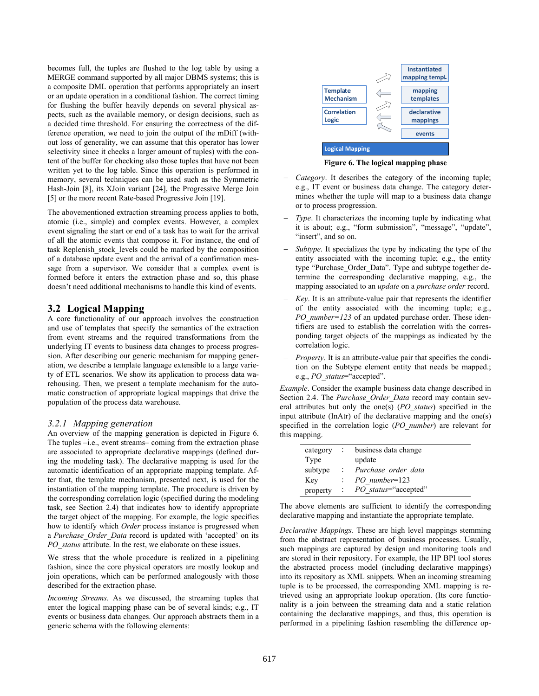becomes full, the tuples are flushed to the log table by using a MERGE command supported by all major DBMS systems; this is a composite DML operation that performs appropriately an insert or an update operation in a conditional fashion. The correct timing for flushing the buffer heavily depends on several physical aspects, such as the available memory, or design decisions, such as a decided time threshold. For ensuring the correctness of the difference operation, we need to join the output of the mDiff (without loss of generality, we can assume that this operator has lower selectivity since it checks a larger amount of tuples) with the content of the buffer for checking also those tuples that have not been written yet to the log table. Since this operation is performed in memory, several techniques can be used such as the Symmetric Hash-Join [8], its XJoin variant [24], the Progressive Merge Join [5] or the more recent Rate-based Progressive Join [19].

The abovementioned extraction streaming process applies to both, atomic (i.e., simple) and complex events. However, a complex event signaling the start or end of a task has to wait for the arrival of all the atomic events that compose it. For instance, the end of task Replenish stock levels could be marked by the composition of a database update event and the arrival of a confirmation message from a supervisor. We consider that a complex event is formed before it enters the extraction phase and so, this phase doesn't need additional mechanisms to handle this kind of events.

# **3.2 Logical Mapping**

A core functionality of our approach involves the construction and use of templates that specify the semantics of the extraction from event streams and the required transformations from the underlying IT events to business data changes to process progression. After describing our generic mechanism for mapping generation, we describe a template language extensible to a large variety of ETL scenarios. We show its application to process data warehousing. Then, we present a template mechanism for the automatic construction of appropriate logical mappings that drive the population of the process data warehouse.

#### *3.2.1 Mapping generation*

An overview of the mapping generation is depicted in Figure 6. The tuples –i.e., event streams– coming from the extraction phase are associated to appropriate declarative mappings (defined during the modeling task). The declarative mapping is used for the automatic identification of an appropriate mapping template. After that, the template mechanism, presented next, is used for the instantiation of the mapping template. The procedure is driven by the corresponding correlation logic (specified during the modeling task, see Section 2.4) that indicates how to identify appropriate the target object of the mapping. For example, the logic specifies how to identify which *Order* process instance is progressed when a *Purchase\_Order\_Data* record is updated with 'accepted' on its *PO\_status* attribute. In the rest, we elaborate on these issues.

We stress that the whole procedure is realized in a pipelining fashion, since the core physical operators are mostly lookup and join operations, which can be performed analogously with those described for the extraction phase.

*Incoming Streams.* As we discussed, the streaming tuples that enter the logical mapping phase can be of several kinds; e.g., IT events or business data changes. Our approach abstracts them in a generic schema with the following elements:

![](_page_5_Figure_8.jpeg)

**Figure 6. The logical mapping phase**

- *Category*. It describes the category of the incoming tuple; e.g., IT event or business data change. The category determines whether the tuple will map to a business data change or to process progression.
- *Type*. It characterizes the incoming tuple by indicating what it is about; e.g., "form submission", "message", "update", "insert", and so on.
- Subtype. It specializes the type by indicating the type of the entity associated with the incoming tuple; e.g., the entity type "Purchase\_Order\_Data". Type and subtype together determine the corresponding declarative mapping, e.g., the mapping associated to an *update* on a *purchase order* record.
- − *Key*. It is an attribute-value pair that represents the identifier of the entity associated with the incoming tuple; e.g., *PO\_number=123* of an updated purchase order. These identifiers are used to establish the correlation with the corresponding target objects of the mappings as indicated by the correlation logic.
- − *Property*. It is an attribute-value pair that specifies the condition on the Subtype element entity that needs be mapped.; e.g., *PO\_status*="accepted".

*Example*. Consider the example business data change described in Section 2.4. The *Purchase Order Data* record may contain several attributes but only the one(s) (*PO\_status*) specified in the input attribute (InAtr) of the declarative mapping and the one(s) specified in the correlation logic (*PO\_number*) are relevant for this mapping.

| category | business data change |
|----------|----------------------|
| Type     | update               |
| subtype  | Purchase order data  |
| Key      | PO number=123        |
| property | PO status="accepted" |

The above elements are sufficient to identify the corresponding declarative mapping and instantiate the appropriate template.

*Declarative Mappings*. These are high level mappings stemming from the abstract representation of business processes. Usually, such mappings are captured by design and monitoring tools and are stored in their repository. For example, the HP BPI tool stores the abstracted process model (including declarative mappings) into its repository as XML snippets. When an incoming streaming tuple is to be processed, the corresponding XML mapping is retrieved using an appropriate lookup operation. (Its core functionality is a join between the streaming data and a static relation containing the declarative mappings, and thus, this operation is performed in a pipelining fashion resembling the difference op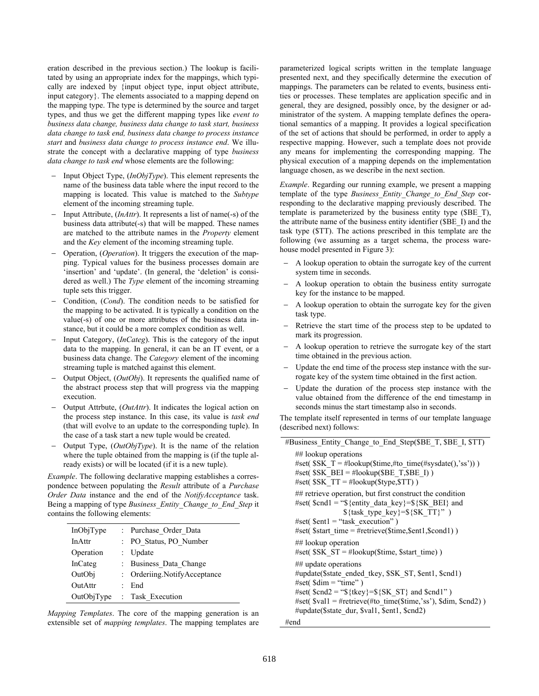eration described in the previous section.) The lookup is facilitated by using an appropriate index for the mappings, which typically are indexed by {input object type, input object attribute, input category}. The elements associated to a mapping depend on the mapping type. The type is determined by the source and target types, and thus we get the different mapping types like *event to business data change, business data change to task start, business data change to task end, business data change to process instance start* and *business data change to process instance end*. We illustrate the concept with a declarative mapping of type *business data change to task end* whose elements are the following:

- − Input Object Type, (*InObjType*). This element represents the name of the business data table where the input record to the mapping is located. This value is matched to the *Subtype* element of the incoming streaming tuple.
- − Input Attribute, (*InAttr*). It represents a list of name(-s) of the business data attribute(-s) that will be mapped. These names are matched to the attribute names in the *Property* element and the *Key* element of the incoming streaming tuple.
- − Operation, (*Operation*). It triggers the execution of the mapping. Typical values for the business processes domain are 'insertion' and 'update'. (In general, the 'deletion' is considered as well.) The *Type* element of the incoming streaming tuple sets this trigger.
- − Condition, (*Cond*). The condition needs to be satisfied for the mapping to be activated. It is typically a condition on the value(-s) of one or more attributes of the business data instance, but it could be a more complex condition as well.
- − Input Category, (*InCateg*). This is the category of the input data to the mapping. In general, it can be an IT event, or a business data change. The *Category* element of the incoming streaming tuple is matched against this element.
- − Output Object, (*OutObj*). It represents the qualified name of the abstract process step that will progress via the mapping execution.
- − Output Attrbute, (*OutAttr*). It indicates the logical action on the process step instance. In this case, its value is *task end* (that will evolve to an update to the corresponding tuple). In the case of a task start a new tuple would be created.
- − Output Type, (*OutObjType*). It is the name of the relation where the tuple obtained from the mapping is (if the tuple already exists) or will be located (if it is a new tuple).

*Example*. The following declarative mapping establishes a correspondence between populating the *Result* attribute of a *Purchase Order Data* instance and the end of the *NotifyAcceptance* task. Being a mapping of type *Business\_Entity\_Change\_to\_End\_Step* it contains the following elements:

| InObjType  | : Purchase Order Data        |
|------------|------------------------------|
| InAttr     | : PO Status, PO Number       |
| Operation  | : Update                     |
| InCateg    | : Business Data Change       |
| OutObj     | : Orderiing.NotifyAcceptance |
| OutAttr    | End                          |
| OutObjType | : Task Execution             |

*Mapping Templates*. The core of the mapping generation is an extensible set of *mapping templates*. The mapping templates are

parameterized logical scripts written in the template language presented next, and they specifically determine the execution of mappings. The parameters can be related to events, business entities or processes. These templates are application specific and in general, they are designed, possibly once, by the designer or administrator of the system. A mapping template defines the operational semantics of a mapping. It provides a logical specification of the set of actions that should be performed, in order to apply a respective mapping. However, such a template does not provide any means for implementing the corresponding mapping. The physical execution of a mapping depends on the implementation language chosen, as we describe in the next section.

*Example*. Regarding our running example, we present a mapping template of the type *Business\_Entity\_Change\_to\_End\_Step* corresponding to the declarative mapping previously described. The template is parameterized by the business entity type (\$BE\_T), the attribute name of the business entity identifier (\$BE\_I) and the task type (\$TT). The actions prescribed in this template are the following (we assuming as a target schema, the process warehouse model presented in Figure 3):

- − A lookup operation to obtain the surrogate key of the current system time in seconds.
- A lookup operation to obtain the business entity surrogate key for the instance to be mapped.
- A lookup operation to obtain the surrogate key for the given task type.
- Retrieve the start time of the process step to be updated to mark its progression.
- A lookup operation to retrieve the surrogate key of the start time obtained in the previous action.
- Update the end time of the process step instance with the surrogate key of the system time obtained in the first action.
- Update the duration of the process step instance with the value obtained from the difference of the end timestamp in seconds minus the start timestamp also in seconds.

The template itself represented in terms of our template language (described next) follows:

```
#Business_Entity_Change_to_End_Step($BE_T, $BE_I, $TT)
    ## lookup operations 
   #set( SSK \hat{T} = #lookup(String, #to time (#sysdate(), 'ss')))
   #set(SSKBEI = #lookup(SBE T, SBE I))
   #set(SSK TT = #lookup($type, STT))
   ## retrieve operation, but first construct the condition
   #set(\text{Send1} = \text{``$} \{entity data key}=\text{$} \{SK\text{ BEI}\} and
                    ${task type key}=${SK TT}" )
   #set($ent1 = "task execution" )#set($start time = #retrieve(\$time, \$ent1, \$cond1) ) ## lookup operation 
   #set(SSKST = #lookup(Stringtime, Sstart time))
   ## update operations
   #update($state_ended_tkey, $SK_ST, $ent1, $cnd1)
   #set(\sin = \text{``time''})
   #set(\text{Send2} = \text{Stkey} = \frac{S}{SK} ST} and \text{Send1" }#set(\text{Sval1} = \text{\#retrieve}(\text{\#to time}(\text{time},\text{'ss}'), \text{Sdim}, \text{Send2}))
   #update($state_dur, $val1, $ent1, $cnd2)
#end
```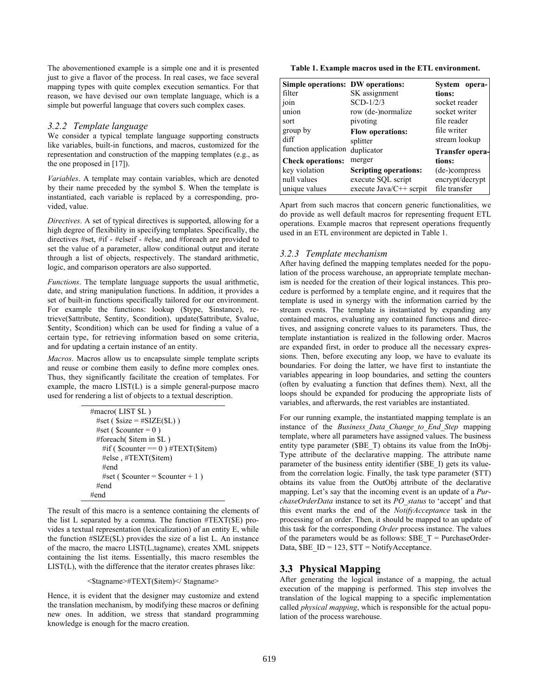The abovementioned example is a simple one and it is presented just to give a flavor of the process. In real cases, we face several mapping types with quite complex execution semantics. For that reason, we have devised our own template language, which is a simple but powerful language that covers such complex cases.

#### *3.2.2 Template language*

We consider a typical template language supporting constructs like variables, built-in functions, and macros, customized for the representation and construction of the mapping templates (e.g., as the one proposed in [17]).

*Variables*. A template may contain variables, which are denoted by their name preceded by the symbol \$. When the template is instantiated, each variable is replaced by a corresponding, provided, value.

*Directives*. A set of typical directives is supported, allowing for a high degree of flexibility in specifying templates. Specifically, the directives #set, #if - #elseif - #else, and #foreach are provided to set the value of a parameter, allow conditional output and iterate through a list of objects, respectively. The standard arithmetic, logic, and comparison operators are also supported.

*Functions*. The template language supports the usual arithmetic, date, and string manipulation functions. In addition, it provides a set of built-in functions specifically tailored for our environment. For example the functions: lookup (\$type, \$instance), retrieve(\$attribute, \$entity, \$condition), update(\$attribute, \$value, \$entity, \$condition) which can be used for finding a value of a certain type, for retrieving information based on some criteria, and for updating a certain instance of an entity.

*Macros*. Macros allow us to encapsulate simple template scripts and reuse or combine them easily to define more complex ones. Thus, they significantly facilitate the creation of templates. For example, the macro LIST(L) is a simple general-purpose macro used for rendering a list of objects to a textual description.

```
#macro( LIST $L ) 
   #set ( $size = #SIZE($L) ) 
  #set (\text{Seounter} = 0)
   #foreach( $item in $L ) 
    #if (\text{Seounter} == 0) #TEXT(\text{Sitem})
     #else , #TEXT($item) 
     #end 
    #set (\text{Seounter} = \text{Seounter} + 1)
   #end 
#end
```
The result of this macro is a sentence containing the elements of the list L separated by a comma. The function #TEXT(\$E) provides a textual representation (lexicalization) of an entity E, while the function #SIZE(\$L) provides the size of a list L. An instance of the macro, the macro LIST(L,tagname), creates XML snippets containing the list items. Essentially, this macro resembles the LIST(L), with the difference that the iterator creates phrases like:

#### <\$tagname>#TEXT(\$item)</ \$tagname>

Hence, it is evident that the designer may customize and extend the translation mechanism, by modifying these macros or defining new ones. In addition, we stress that standard programming knowledge is enough for the macro creation.

#### **Table 1. Example macros used in the ETL environment.**

| Simple operations: DW operations: |                              | System opera-   |
|-----------------------------------|------------------------------|-----------------|
| filter                            | SK assignment                | tions:          |
| join                              | $SCD-1/2/3$                  | socket reader   |
| union                             | row (de-)normalize           | socket writer   |
| sort                              | pivoting                     | file reader     |
| group by                          | <b>Flow operations:</b>      | file writer     |
| diff                              | splitter                     | stream lookup   |
| function application              | duplicator                   | Transfer opera- |
| <b>Check operations:</b>          | merger                       | tions:          |
| key violation                     | <b>Scripting operations:</b> | (de-)compress   |
| null values                       | execute SQL script           | encrypt/decrypt |
| unique values                     | execute $Java/C++$ scrpit    | file transfer   |

Apart from such macros that concern generic functionalities, we do provide as well default macros for representing frequent ETL operations. Example macros that represent operations frequently used in an ETL environment are depicted in Table 1.

# *3.2.3 Template mechanism*

After having defined the mapping templates needed for the population of the process warehouse, an appropriate template mechanism is needed for the creation of their logical instances. This procedure is performed by a template engine, and it requires that the template is used in synergy with the information carried by the stream events. The template is instantiated by expanding any contained macros, evaluating any contained functions and directives, and assigning concrete values to its parameters. Thus, the template instantiation is realized in the following order. Macros are expanded first, in order to produce all the necessary expressions. Then, before executing any loop, we have to evaluate its boundaries. For doing the latter, we have first to instantiate the variables appearing in loop boundaries, and setting the counters (often by evaluating a function that defines them). Next, all the loops should be expanded for producing the appropriate lists of variables, and afterwards, the rest variables are instantiated.

For our running example, the instantiated mapping template is an instance of the *Business\_Data\_Change\_to\_End\_Step* mapping template, where all parameters have assigned values. The business entity type parameter (\$BE\_T) obtains its value from the InObj-Type attribute of the declarative mapping. The attribute name parameter of the business entity identifier (\$BE\_I) gets its valuefrom the correlation logic. Finally, the task type parameter (\$TT) obtains its value from the OutObj attribute of the declarative mapping. Let's say that the incoming event is an update of a *PurchaseOrderData* instance to set its *PO\_status* to 'accept' and that this event marks the end of the *NotifyAcceptance* task in the processing of an order. Then, it should be mapped to an update of this task for the corresponding *Order* process instance. The values of the parameters would be as follows:  $$BET = PurchaseOrder-$ Data,  $\overline{SBE}$  ID = 123,  $\overline{STT}$  = NotifyAcceptance.

# **3.3 Physical Mapping**

After generating the logical instance of a mapping, the actual execution of the mapping is performed. This step involves the translation of the logical mapping to a specific implementation called *physical mapping*, which is responsible for the actual population of the process warehouse.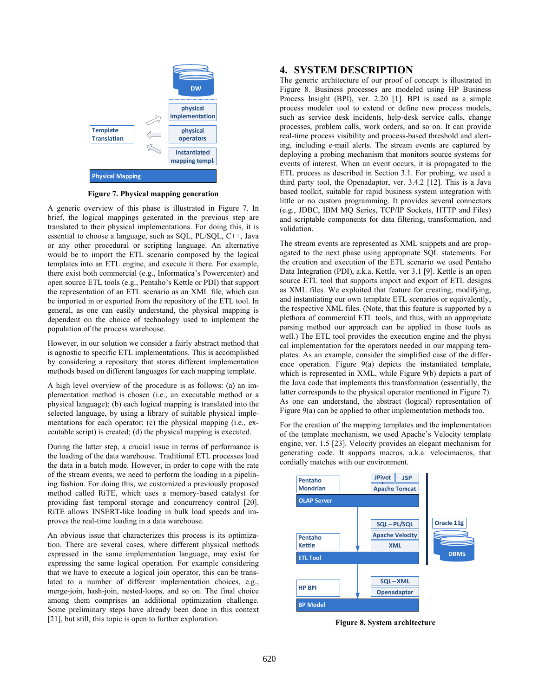![](_page_8_Figure_0.jpeg)

**Figure 7. Physical mapping generation** 

A generic overview of this phase is illustrated in Figure 7. In brief, the logical mappings generated in the previous step are translated to their physical implementations. For doing this, it is essential to choose a language, such as SQL, PL/SQL, C++, Java or any other procedural or scripting language. An alternative would be to import the ETL scenario composed by the logical templates into an ETL engine, and execute it there. For example, there exist both commercial (e.g., Informatica's Powercenter) and open source ETL tools (e.g., Pentaho's Kettle or PDI) that support the representation of an ETL scenario as an XML file, which can be imported in or exported from the repository of the ETL tool. In general, as one can easily understand, the physical mapping is dependent on the choice of technology used to implement the population of the process warehouse.

However, in our solution we consider a fairly abstract method that is agnostic to specific ETL implementations. This is accomplished by considering a repository that stores different implementation methods based on different languages for each mapping template.

A high level overview of the procedure is as follows: (a) an implementation method is chosen (i.e., an executable method or a physical language); (b) each logical mapping is translated into the selected language, by using a library of suitable physical implementations for each operator; (c) the physical mapping  $(i.e., ex-)$ ecutable script) is created; (d) the physical mapping is executed.

During the latter step, a crucial issue in terms of performance is the loading of the data warehouse. Traditional ETL processes load the data in a batch mode. However, in order to cope with the rate of the stream events, we need to perform the loading in a pipelining fashion. For doing this, we customized a previously proposed method called RiTE, which uses a memory-based catalyst for providing fast temporal storage and concurrency control [20]. RiTE allows INSERT-like loading in bulk load speeds and improves the real-time loading in a data warehouse.

An obvious issue that characterizes this process is its optimization. There are several cases, where different physical methods expressed in the same implementation language, may exist for expressing the same logical operation. For example considering that we have to execute a logical join operator, this can be translated to a number of different implementation choices, e.g., merge-join, hash-join, nested-loops, and so on. The final choice among them comprises an additional optimization challenge. Some preliminary steps have already been done in this context [21], but still, this topic is open to further exploration.

# **4. SYSTEM DESCRIPTION**

The generic architecture of our proof of concept is illustrated in Figure 8. Business processes are modeled using HP Business Process Insight (BPI), ver. 2.20 [1]. BPI is used as a simple process modeler tool to extend or define new process models, such as service desk incidents, help-desk service calls, change processes, problem calls, work orders, and so on. It can provide real-time process visibility and process-based threshold and alerting, including e-mail alerts. The stream events are captured by deploying a probing mechanism that monitors source systems for events of interest. When an event occurs, it is propagated to the ETL process as described in Section 3.1. For probing, we used a third party tool, the Openadaptor, ver. 3.4.2 [12]. This is a Java based toolkit, suitable for rapid business system integration with little or no custom programming. It provides several connectors (e.g., JDBC, IBM MQ Series, TCP/IP Sockets, HTTP and Files) and scriptable components for data filtering, transformation, and validation.

The stream events are represented as XML snippets and are propagated to the next phase using appropriate SQL statements. For the creation and execution of the ETL scenario we used Pentaho Data Integration (PDI), a.k.a. Kettle, ver 3.1 [9]. Kettle is an open source ETL tool that supports import and export of ETL designs as XML files. We exploited that feature for creating, modifying, and instantiating our own template ETL scenarios or equivalently, the respective XML files. (Note, that this feature is supported by a plethora of commercial ETL tools, and thus, with an appropriate parsing method our approach can be applied in those tools as well.) The ETL tool provides the execution engine and the physi cal implementation for the operators needed in our mapping templates. As an example, consider the simplified case of the difference operation. Figure 9(a) depicts the instantiated template, which is represented in XML, while Figure 9(b) depicts a part of the Java code that implements this transformation (essentially, the latter corresponds to the physical operator mentioned in Figure 7). As one can understand, the abstract (logical) representation of Figure 9(a) can be applied to other implementation methods too.

For the creation of the mapping templates and the implementation of the template mechanism, we used Apache's Velocity template engine, ver. 1.5 [23]. Velocity provides an elegant mechanism for generating code. It supports macros, a.k.a. velocimacros, that cordially matches with our environment.

![](_page_8_Figure_11.jpeg)

**Figure 8. System architecture**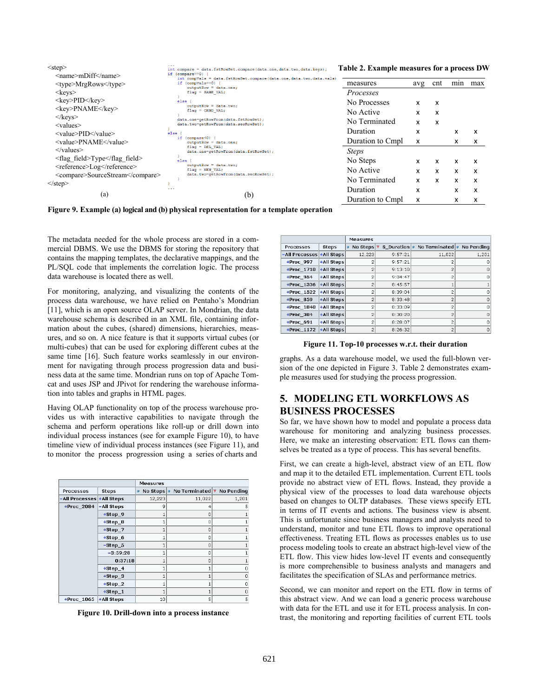| $<$ step $>$                                                           | $\cdots$<br>int compare = data.fstRowSet.compare(data.one,data.two,data.keys);                                                            | Table 2. Example measures for a process DW |     |     |     |     |
|------------------------------------------------------------------------|-------------------------------------------------------------------------------------------------------------------------------------------|--------------------------------------------|-----|-----|-----|-----|
| $\le$ name $\ge$ m $\le$ iff $\le$ /name $\ge$<br><type>MrgRows</type> | if $(compare==0)$<br>int compVals = data.fstRowSet.compare(data.one,data.two,data.vals)<br>if $(compVals==0)$<br>$outputRow = data.$ one; | measures                                   | avg | cnt | min | max |
| $<$ keys $>$                                                           | $flag = SAME VAL;$                                                                                                                        | Processes                                  |     |     |     |     |
| $\langle key>PID \langle key \rangle$                                  | else<br>$outputRow = data.two;$                                                                                                           | No Processes                               | x   | x   |     |     |
| <key>PNAME</key>                                                       | $flag = CHND VAL;$                                                                                                                        | No Active                                  | x   | x   |     |     |
| $\langle$ keys $>$<br>$<$ values $>$                                   | data.one=qetRowFrom(data.fstRowSet);<br>data.two=qetRowFrom(data.secRowSet);                                                              | No Terminated                              | x   | x   |     |     |
| <value>PID</value>                                                     | else                                                                                                                                      | Duration                                   | X   |     | x   | x   |
| <value>PNAME</value>                                                   | if (compare<0)<br>outputRow = data.one;                                                                                                   | Duration to Cmpl                           | x   |     | x   | x   |
| $\langle\vee$ values                                                   | $flag = DEL VAL;$<br>data.one=qetRowFrom(data.fstRowSet);                                                                                 | <b>Steps</b>                               |     |     |     |     |
| $\leq$ flag field $\geq$ Type $\leq$ /flag field $\geq$                | else<br>$outputRow = data.two;$                                                                                                           | No Steps                                   | x   | x   | x   | x   |
| <reference>Log</reference>                                             | $flag = NEW VAL;$<br>data.two=qetRowFrom(data.secRowSet);                                                                                 | No Active                                  | x   | x   | x   | x   |
| <compare>SourceStream</compare>                                        |                                                                                                                                           | No Terminated                              | x   | x   | x   | x   |
| $\le$ /step><br>(a)                                                    | .                                                                                                                                         | Duration                                   | x   |     | x   | x   |
|                                                                        | (b)                                                                                                                                       | Duration to Cmpl                           | x   |     | x   | x   |

**Figure 9. Example (a) logical and (b) physical representation for a template operation** 

The metadata needed for the whole process are stored in a commercial DBMS. We use the DBMS for storing the repository that contains the mapping templates, the declarative mappings, and the PL/SQL code that implements the correlation logic. The process data warehouse is located there as well.

For monitoring, analyzing, and visualizing the contents of the process data warehouse, we have relied on Pentaho's Mondrian [11], which is an open source OLAP server. In Mondrian, the data warehouse schema is described in an XML file, containing information about the cubes, (shared) dimensions, hierarchies, measures, and so on. A nice feature is that it supports virtual cubes (or multi-cubes) that can be used for exploring different cubes at the same time [16]. Such feature works seamlessly in our environment for navigating through process progression data and business data at the same time. Mondrian runs on top of Apache Tomcat and uses JSP and JPivot for rendering the warehouse information into tables and graphs in HTML pages.

Having OLAP functionality on top of the process warehouse provides us with interactive capabilities to navigate through the schema and perform operations like roll-up or drill down into individual process instances (see for example Figure 10), to have timeline view of individual process instances (see Figure 11), and to monitor the process progression using a series of charts and

|                  |            | <b>Measures</b> |                            |              |
|------------------|------------|-----------------|----------------------------|--------------|
| Processes        | Steps      | No Steps        | No Terminated 7 No Pending |              |
| -All Processes   | +All Steps | 12,223          | 11,022                     | 1,201        |
| +Proc 2084       | -All Steps | 9               | 4                          | 5            |
|                  | $+Step_9$  |                 | $\Omega$                   | $\mathbf{1}$ |
|                  | $+Step_8$  |                 | 0                          | $\mathbf{1}$ |
|                  | $+step_7$  |                 | 0                          | $\mathbf{1}$ |
|                  | $+Step_6$  |                 | n                          | $\mathbf{1}$ |
|                  | $-Step_5$  |                 | 0                          | 1            |
|                  | $-3:59:28$ |                 | $\Omega$                   | $\mathbf{1}$ |
|                  | 0:37:18    |                 | 0                          |              |
|                  | $+Step_4$  |                 |                            | 0            |
|                  | $+Step_3$  |                 |                            | 0            |
|                  | $+Step_2$  |                 |                            | 0            |
|                  | $+Step_1$  |                 |                            | 0            |
| $+$ Proc $-1065$ | +All Steps | 10              | 5                          | 5            |

**Figure 10. Drill-down into a process instance** 

|                  |            | Measures        |                   |               |            |  |  |
|------------------|------------|-----------------|-------------------|---------------|------------|--|--|
| <b>Processes</b> | Steps      | <b>No Steps</b> | <b>S</b> Duration | No Terminated | No Pending |  |  |
| -All Processes   | +All Steps | 12,223          | 9:57:21           | 11,022        | 1,201      |  |  |
| +Proc 997        | +All Steps | 2               | 9:57:21           | 2             | n.         |  |  |
| +Proc_1710       | +All Steps | $\overline{c}$  | 9:13:10           | 2             | 0          |  |  |
| $+$ Proc 954     | +All Steps | $\overline{c}$  | 9:04:47           | 2             | 0          |  |  |
| $+$ Proc 1336    | +All Steps | $\overline{c}$  | 8:45:57           |               |            |  |  |
| $+$ Proc 1522    | +All Steps | 2               | 8:39:04           | 2             | $\circ$    |  |  |
| $+$ Proc 859     | +All Steps | 2               | 8:33:48           | 2             | $\Box$     |  |  |
| $+$ Proc 1840    | +All Steps | 2               | 8:33:09           | 2             | 0          |  |  |
| $+$ Proc 384     | +All Steps | $\overline{c}$  | 8:30:20           | 2             | 0          |  |  |
| $+$ Proc 691     | +All Steps | 2               | 8:28:07           | 2             | 0          |  |  |
| $+$ Proc $-1172$ | +All Steps | $\overline{c}$  | 8:26:32           | 2             | $\circ$    |  |  |

**Figure 11. Top-10 processes w.r.t. their duration** 

graphs. As a data warehouse model, we used the full-blown version of the one depicted in Figure 3. Table 2 demonstrates example measures used for studying the process progression.

# **5. MODELING ETL WORKFLOWS AS BUSINESS PROCESSES**

So far, we have shown how to model and populate a process data warehouse for monitoring and analyzing business processes. Here, we make an interesting observation: ETL flows can themselves be treated as a type of process. This has several benefits.

First, we can create a high-level, abstract view of an ETL flow and map it to the detailed ETL implementation. Current ETL tools provide no abstract view of ETL flows. Instead, they provide a physical view of the processes to load data warehouse objects based on changes to OLTP databases. These views specify ETL in terms of IT events and actions. The business view is absent. This is unfortunate since business managers and analysts need to understand, monitor and tune ETL flows to improve operational effectiveness. Treating ETL flows as processes enables us to use process modeling tools to create an abstract high-level view of the ETL flow. This view hides low-level IT events and consequently is more comprehensible to business analysts and managers and facilitates the specification of SLAs and performance metrics.

Second, we can monitor and report on the ETL flow in terms of this abstract view. And we can load a generic process warehouse with data for the ETL and use it for ETL process analysis. In contrast, the monitoring and reporting facilities of current ETL tools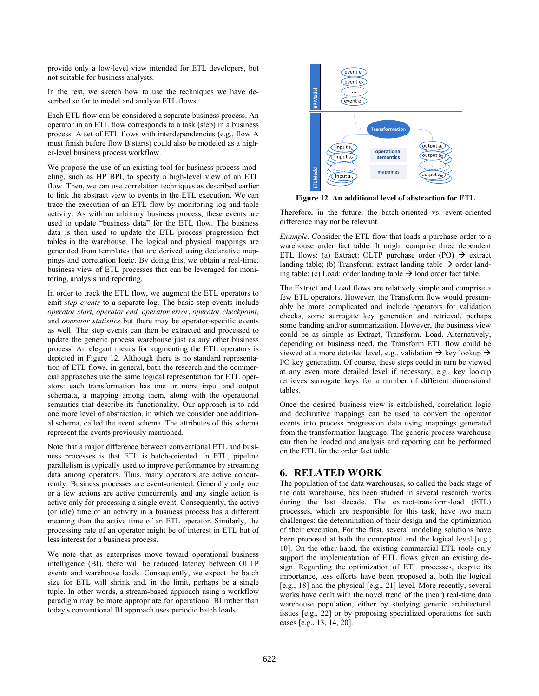provide only a low-level view intended for ETL developers, but not suitable for business analysts.

In the rest, we sketch how to use the techniques we have described so far to model and analyze ETL flows.

Each ETL flow can be considered a separate business process. An operator in an ETL flow corresponds to a task (step) in a business process. A set of ETL flows with interdependencies (e.g., flow A must finish before flow B starts) could also be modeled as a higher-level business process workflow.

We propose the use of an existing tool for business process modeling, such as HP BPI, to specify a high-level view of an ETL flow. Then, we can use correlation techniques as described earlier to link the abstract view to events in the ETL execution. We can trace the execution of an ETL flow by monitoring log and table activity. As with an arbitrary business process, these events are used to update "business data" for the ETL flow. The business data is then used to update the ETL process progression fact tables in the warehouse. The logical and physical mappings are generated from templates that are derived using declarative mappings and correlation logic. By doing this, we obtain a real-time, business view of ETL processes that can be leveraged for monitoring, analysis and reporting.

In order to track the ETL flow, we augment the ETL operators to emit *step events* to a separate log. The basic step events include *operator start, operator end, operator error*, *operator checkpoint*, and *operator statistics* but there may be operator-specific events as well. The step events can then be extracted and processed to update the generic process warehouse just as any other business process. An elegant means for augmenting the ETL operators is depicted in Figure 12. Although there is no standard representation of ETL flows, in general, both the research and the commercial approaches use the same logical representation for ETL operators: each transformation has one or more input and output schemata, a mapping among them, along with the operational semantics that describe its functionality. Our approach is to add one more level of abstraction, in which we consider one additional schema, called the event schema. The attributes of this schema represent the events previously mentioned.

Note that a major difference between conventional ETL and business processes is that ETL is batch-oriented. In ETL, pipeline parallelism is typically used to improve performance by streaming data among operators. Thus, many operators are active concurrently. Business processes are event-oriented. Generally only one or a few actions are active concurrently and any single action is active only for processing a single event. Consequently, the active (or idle) time of an activity in a business process has a different meaning than the active time of an ETL operator. Similarly, the processing rate of an operator might be of interest in ETL but of less interest for a business process.

We note that as enterprises move toward operational business intelligence (BI), there will be reduced latency between OLTP events and warehouse loads. Consequently, we expect the batch size for ETL will shrink and, in the limit, perhaps be a single tuple. In other words, a stream-based approach using a workflow paradigm may be more appropriate for operational BI rather than today's conventional BI approach uses periodic batch loads.

![](_page_10_Figure_7.jpeg)

**Figure 12. An additional level of abstraction for ETL** 

Therefore, in the future, the batch-oriented vs. event-oriented difference may not be relevant.

*Example*. Consider the ETL flow that loads a purchase order to a warehouse order fact table. It might comprise three dependent ETL flows: (a) Extract: OLTP purchase order (PO)  $\rightarrow$  extract landing table; (b) Transform: extract landing table  $\rightarrow$  order landing table; (c) Load: order landing table  $\rightarrow$  load order fact table.

The Extract and Load flows are relatively simple and comprise a few ETL operators. However, the Transform flow would presumably be more complicated and include operators for validation checks, some surrogate key generation and retrieval, perhaps some banding and/or summarization. However, the business view could be as simple as Extract, Transform, Load. Alternatively, depending on business need, the Transform ETL flow could be viewed at a more detailed level, e.g., validation  $\rightarrow$  key lookup  $\rightarrow$ PO key generation. Of course, these steps could in turn be viewed at any even more detailed level if necessary, e.g., key lookup retrieves surrogate keys for a number of different dimensional tables.

Once the desired business view is established, correlation logic and declarative mappings can be used to convert the operator events into process progression data using mappings generated from the transformation language. The generic process warehouse can then be loaded and analysis and reporting can be performed on the ETL for the order fact table.

# **6. RELATED WORK**

The population of the data warehouses, so called the back stage of the data warehouse, has been studied in several research works during the last decade. The extract-transform-load (ETL) processes, which are responsible for this task, have two main challenges: the determination of their design and the optimization of their execution. For the first, several modeling solutions have been proposed at both the conceptual and the logical level [e.g., 10]. On the other hand, the existing commercial ETL tools only support the implementation of ETL flows given an existing design. Regarding the optimization of ETL processes, despite its importance, less efforts have been proposed at both the logical [e.g., 18] and the physical [e.g., 21] level. More recently, several works have dealt with the novel trend of the (near) real-time data warehouse population, either by studying generic architectural issues [e.g., 22] or by proposing specialized operations for such cases [e.g., 13, 14, 20].